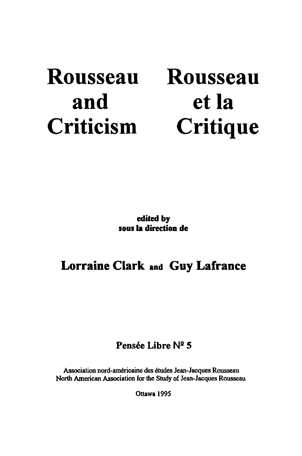# Rousseau and Criticism

# Rousseau et la **Critique**

edited by sous la direction de

## Lorraine Clark and Guy Lafranee

## Pensée Libre N2 S

Association nord-américaine des études Jean-Jacques Rousseau North American Association for the Study of Jean-Jacques Rousseau

Ottawa 1995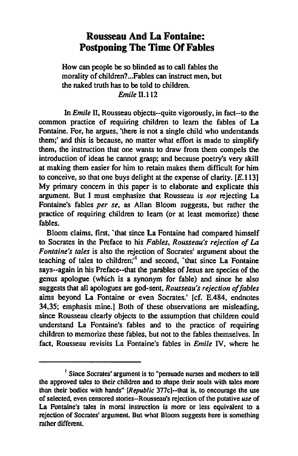## **Rousseau And La Fontaine: Postponing Tbe Time Of Fables**

How can people he so blinded as to cali fables the morality of children? ... Fables can instruct men. but the naked truth has to be told to children. *Emile* 11.112

In *Emile* II. Rousseau objects··quite vigorously. in fact··to the common practice of requiring children to learn the fables of La Fontaine. For. he argues. 'there is not a single child who understands them;' and this is hecause. no matter what effort is made to simplify them, the instruction that one wants to draw from them compels the introduction of ideas he cannot grasp; and because poetry's very skill at making them easier for him to retain makes them difficult for him to conceive, so that one buys delight at the expense of clarity. [E.113] My primary concem in this paper is to elaborate and explicate this argument. But 1 must emphasize that Rousseau is *not* rejecting La Fontaine's fables *per se,* as Allan Bloom suggests. but rather the practice of requiring children 10 leam (or at least memorize) these fables.

Bloom claims, first, 'that since La Fontaine had compared himself to Socrates in the Preface to his *Fables. Rousseau's rejection of La F ontaine's tales* is also the rejection of Socrates' argument about the teaching of tales to children; $\frac{1}{1}$  and second. 'that since La Fontaine says··again in his Preface··that the parables of Jesus are species of the genus apologue (which is a synonym for fable) and sinee he also suggests that all apologues are god-sent, *Rousseau's rejection of fables* aims heyond La Fontaine or even Socrates.' [cf. E.484, endnotes 34,35; emphasis mine.] Both of these observations are misleading, since Rousseau clearly objects to the assumption that children could understand La Fontaine's fables and to the practice of requiring children to memorize these fables. but not to the fables themselves. In fact, Rousseau revisits La Fontaine's fables in *Emile* IV. where he

<sup>1</sup> Since Socrates' argument is to "persuade nurses and molhers to tell the approved tales to lheir children and to shape lheir souls with tales more than their bodies with hands" [RepubIic 377c]--that is, to encourage the use of selected, even censored stories-Rousseau's rejection of the putative use of La Fontaine's tales in moral instruction is more or less equivalent to a rejection of Socrales' argument. But what Bloom suggests here is something rather different.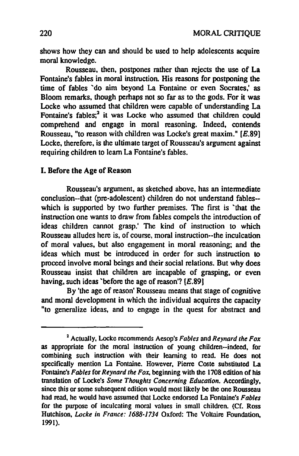shows how they can and should he used to help adolescents acquire moral knowledge.

Rousseau, then, postpones rather than rejects the use of La Fontaine's fables in moral instruction. His reasons for postponing the time of fables "do aim beyond La Fontaine or even Socrates,' as Bloom remarks, though perhaps not so far as to the gods. For it was Locke who assumed that children were capable of understanding La Fontaine's fables; $<sup>2</sup>$  it was Locke who assumed that children could</sup> comprehend and engage in moral reasoning. Indeed, contends Rousseau, "to reason with children was Locke's great maxim." [E.89] Locke, therefore, is the ultimate target of Rousseau's argument against requiring children to learn La Fontaine's fables.

### 1. Defore the Age of Reason

Rousseau's argument. as sketched above, has an intennediate conclusion--that (pre-adolescent) children do not understand fables- which is supported by two further premises. The first is 'that the instruction one wants to draw from fables compels the introduction of ideas children cannot grasp.' The kind of instruction to which Rousseau alludes here is, of course, moral instruction--the inculcation of moral values. but also engagement in moral reasoning; and the ideas which must be introduced in order for such instruction to proceed involve moral beings and their social relations. But why does Rousseau insist that children are incapable of grasping, or even having, such ideas 'before the age of reason'?  $[E.89]$ 

By 'the age of reason' Rousseau means that stage of cognitive and moral development in which the individual acquires the capacity "to generaIize ideas, and to engage in the quest for abstract and

<sup>%</sup> Actually, Locke recommends Aesop's *Fables* and *Reynard the Fox*  as appropriate for the moral instruction of young children-indeed, for combining such instruction with their learning to read. He does not specifically mention La Fontaine. However. Pierre Coste substituted La Fontaine's *Fables* for *Reynard the Fox*, beginning with the 1708 edition of his translation of Locke's *Some Thoughts Concerning Education*. Accordingly, since this or some subsequent edition would most likely be the one Rousseau had read. he would have assumed that Locke endorsed La Fontaine's *Fables*  for the purpose of inculcating moral values in small children. (Cf. Ross Hutchison, *Locke in France:* 1688-1734 Oxford: The Voltaire Foundation. 1991).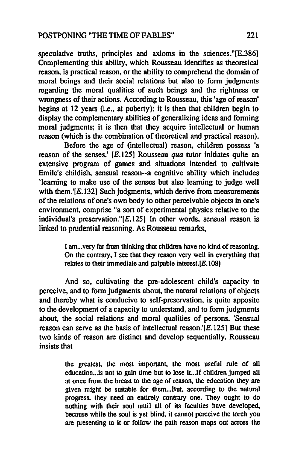speculative truths, principles and axioms in the sciences."[E.386] Complementing this ability, which Rousseau identifies as theoretical reason, is practical reason, or the ability to comprehend the domain of moral beings and their social relations but also to form judgments regarding the moral qualities of such beings and the rightness or wrongness of their actions. According to Rousseau, this 'age of reason' begins at 12 years (i.e., at puberty): it is then that children begin to display the complementary abilities of generalizing ideas and fonning moral judgments; it is then that they acquire intellectual or human reason (which is the combination of theoretical and practical reason).

Before the age of (intellectual) reason, children possess 'a reason of the senses.'  $[E.125]$  Rousseau *qua* tutor initiates quite an extensive program of games and situations intended to cultivate Emile's childish, sensual reason--a cognitive ability which includes 'leaming to make use of the senses but also leaming to judge well with them.'[E.132] Such judgments, which derive from measurements of the relations of one's own body to other perceivable objects in one's environment. comprise "a sort of experimental physics relative to the individual's preservation." $[E, 125]$  In other words, sensual reason is linked to prudential reasoning. As Rousseau remarks,

> I am... very far from thinking that children have no kind of reasoning. On the contrary, 1 see that they reason very weU in everything that relates to their immediate and palpable interest.<sup>[E.108]</sup>

And so, cultivating the pre-adolescent child's capacity to perceive, and to fonn judgments about, the natural relations of objects and thereby what is conducive to self-preservation, is quite apposite to the development of a capacity to understand, and to fonn judgments about. the social relations and moral qualities of persons. 'Sensual reason can serve as the basis of intellectual reason.' $\overline{E}$ .125] But these two kinds of reason are distinct and develop sequentially. Rousseau insists that

> the greatest. the most important. the most useful role of ail education ... is not to gain time but to lose it... If children jumped all at once from the breast to the age of reason, the education they are given might be suitable for them...But, according to the natural progress, they need an entirely contrary one. They ought to do nothing with their soul until ail of its faculties have developed. because while the soul is yet blind, il cannot perceive the torch you are presenting to it or follow the path reason maps out across the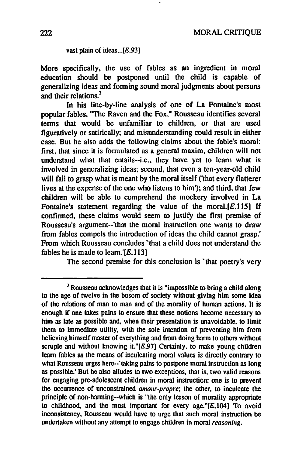#### vast plain of ideas... $[E.93]$

More specifically. the use of fables as an ingredient in moral education should he postponed until the child is capable of generalizing ideas and fonning sound moral judgments about persons and their relations.<sup>3</sup>

In his line-by-line analysis of one of La Fontaine's most popular fables, "The Raven and the Fox," Rousseau identifies several terms that would be unfamiliar to children, or that are used figuratively or satirically; and misunderstanding could result in either case. But he also adds the following claims about the fable's moral: first. that since it is formulated as a general maxim, children will not understand what that entails--i.e., they have yet to leam what is involved in generalizing ideas; second. that even a ten-year-old child will fail to grasp what is meant by the moral itself ('that every flatterer lives at the expense of the one who Iistens to him'); and third, that few children will he able to comprehend the mockery involved in La Fontaine's statement regarding the value of the moral. $[E.115]$  If confinned. these claims would seem to justify the first premise of Rousseau's argument--'that the moral instruction one wants to draw from fables compels the introduction of ideas the child cannot grasp.' From which Rousseau concludes "that a child does not understand the fables he is made to learn.' $[E.113]$ 

The second premise for this conclusion is 'that poetry's very

 $<sup>3</sup>$  Rousseau acknowledges that it is "impossible to bring a child along</sup> to the age of twelve in the bosom of society without giving him sorne idea of the relations of man to man and of the momlity of human actions. Il is enough if one takes pains to ensure that these notions become necessary to him as late as possible and, when their presentation is unavoidable, to limit them to immediate utility, with the sole intention of preventing him from believing himself master of everything and from doing harm to others without scruple and without knowing it." $[E.97]$  Certainly, to make young children learn fables as the means of inculcating moral values is directly contrary to what Rousseau urges here--'taking pains to postpone moral instruction as long as possible.' But he also alludes to IwO exceptions. that is. two valid reasons for engaging pre-adolescent children in moral instruction: one is to prevent the occurrence of unconstrained amour-propre; the other. to inculcate the principle of non-harming--which is "the only lesson of morality appropriate to childhood, and the most important for every age." $[E, 104]$  To avoid inconsistency, Rousseau would have to urge that such moral instruction be undertaken without any attempt to engage children in moral reasoning.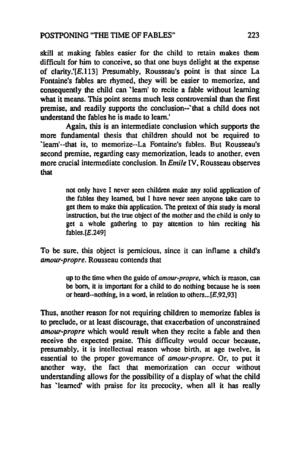skill at making fables easier for the child to retain makes them difficult for him to conceive, so that one buys delight at the expense of clarity.'[E.113] Presumably, Rousseau's point is that since La Fontaine's fables are rhymed, they will be easier to memorize, and consequently the child can 'leam' to recite a fable without learning what it means. This point seems much less controversial than the first premise, and readily supports the conclusion--'that a child does not understand the fables he is made to leam.'

Again, this is an intermediate conclusion which supports the more fundamental thesis that children should not he required to 'leam'--that is, to memorize--La Fontaine's fables. But Rousseau's second premise, regarding easy memorization, leads to another, even more crucial intermediate conclusion. In *Emile* IV, Rousseau observes that

> not only have I never seen children make any solid application of the fables they learned. but 1 have never seen anyone take care to get them to make this application. The pretext of this study is moral instruction, but the true object of the mother and the child is ooly to get a whole gathering to pay attention to him reciting his fables.[E.249]

To he sure, this object is pemicious, since it can inflame a child's *amour-propre.* Rousseau contends that

> up to the time when the guide of *amour-propre,* which is reason. can be born, it is important for a child to do nothing because he is seen or heard--nothing, in a word, in relation to others... $[E.92, 93]$

Thus, another reason for not requiring children to memorize fables is to preclude, or at least discourage, that exacerbation of unconstrained *amour-propre* which would result when they recite a fable and then receive the expected praise. This difficulty would occur because, presumably, it is intellectual reason whose birth, at age twelve, is essential to the proper govemance of *amour-propre.* Or, to put it another way, the fact that memorization can occur without understanding allows for the possibility of a display of what the child has 'learned' with praise for its precocity, when all it has really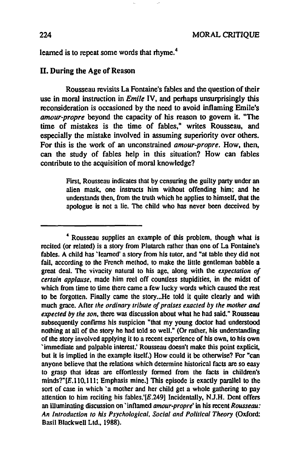learned is to repeat some words that rhyme.<sup>4</sup>

#### ll. During the Age of Reason

Rousseau revisits La Fontaine's fables and the question of their use in moral instruction in *Emile* IV, and pemaps unsurprisingly this reconsideration is occasioned by the need to avoid inflaming Emile's *amour-propre* beyond the capacity of his reason to govern it. "The time of mistakes is the time of fables," writes Rousseau, and especially the mistake involved in assuming superiority over others. For this is the work of an unconstrained *amour-propre.* How, then, can the study of fables help in this situation? How can fables contribute to the acquisition of moral knowledge?

> First. Rousseau indicates that by censuring the guilty party under an alien mask. one inslructs him withoul offending him: and he understands then, from the truth which he applies to himself, that the apologue is not a lie. The child who has never been deceived by

<sup>&</sup>quot; Rousseau supplies an example of this problem, though what is recited (or related) is a story from Plutarch rather than one of La Fontaine's fables. A child has 'learned' a story from his tutor, and "at table they did not fail. according to the French method, to make the little gentleman babble a great deal. The vivacity natural to his age, along with the *expectation of certain applause,* made him reel off countless stupidities. in the midst of which from time to time there came a few lucky words which caused the rest to be forgotten. Finally came the story...He told it quite clearly and with much grace. After the ordinary tribute of praises exacted by the mother and *expected* by *the son,* there was discussion about what he had said. " Rousseau subsequently confirms his suspicion "that my young doctor had understood nothing at all of the story he had told so well." (Or rather, his understanding of the story involved applying il to a recent experience of his own. to his own 'immediate and palpable interest: Rousseau doesn't make this point explicit. but it is implied in the example itself.) How could it be otherwise? For "can anyone believe that the relations which determine historical facts are so easy to grasp that ideas are effortlessly formed from the facts in children's minds?"[E.110,111; Emphasis mine.] This episode is exactly parallel to the sort of case in which 'a mother and her child get a whole gathering to pay attention to him reciting his fables.'[E.249) Incidentally, NJ.H. Dent offers an illuminating discussion on 'inflamed *amour-propre'* in his recent Rousseau: *An Introduction to ms Psychological, Social and Polltical Theory* (Oxford: Basil Blackwell Ltd., 1988).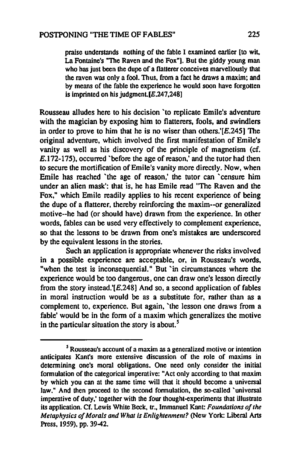praise understands nothing of the fable 1 examined earlier [10 wit. La Fontaine's "The Raven and the Fox"). But the giddy young man who has just been the dupe of a flatterer conceives marvellously that the raven was only a fool. Thus, from a facl he draws a maxim; and by means of the fable the experience he would soon have forgotten is imprinted on his judgment. $[E.247,248]$ 

Rousseau alludes here ta his decision 'to replicate Emile's adventure with the magician by exposing him to flatterers, fools, and swindlers in order to prove to him that he is no wiser than others.' $[E.245]$  The original adventure, which involved the first manifestation of Emile's vanity as weil as his discovery of the principle of magnetism (cf. E.172-175), occurred 'before the age of reason,' and the tutor had then to secure the mortification of Emile's vanity more directly. Now, when Emile has reached 'the age of reason,' the tutor can 'censure him under an alien mask': that is, he has Emile read "The Raven and the Fox," which Emile readily applies to his recent experience of being the dupe of a flatterer, thereby reinforcing the maxim--or generalized motive--he had (or should have) drawn from the experience. In other words, fables can be used very effectively to complement experience, so that the lessons to be drawn from one's mistakes are underscored by the equivalent lessons in the sto ries.

Such an application is appropriate whenever the risks involved in a possible experience are acceptable, or, in Rousseau's words, "when the test is inconsequential." But 'in circumstances where the experience would be too dangerous, one can draw one's lesson directly from the story instead.' $[E.248]$  And so, a second application of fables in moral instruction would be as a substitute for, rather than as a complement to, experience. But again, 'the lesson one draws from a fable' would be in the form of a maxim which generalizes the motive in the particular situation the story is about. *<sup>S</sup>*

 $<sup>5</sup>$  Rousseau's account of a maxim as a generalized motive or intention</sup> anticipates Kant's more extensive discussion of the role of maxims in determining one's moral obligations. One need only consider the initial formulation of the categorical imperative: "Act only according 10 that maxim by which you can at the same time will that it should become a universal law." And then proceed to the second formulation, the so-called 'universal imperative of duty,' together with the four thought-experiments that ilIustrate its application. Cf. Lewis White Beek, tr., Immanuel Kant: *Foundations of the Metaphysics of Morals and What is Enlightenment?* (New York: Liberal Arts Press, 1959), pp. 39-42.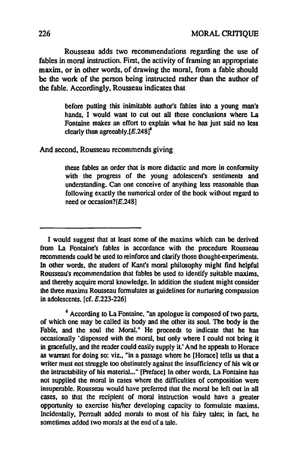Rousseau adds two recommendations regarding the use of fables in moral instruction. First, the activity of framing an appropriate maxim, or in other words, of drawing the moral, from a fable should be the work of the person being instructed rather than the author of the fable. Accordingly, Rousseau indicates that

> before putting this inimitable author's fables into a young man's hands, 1 would want to eut out all these conclusions where La Fontaine makes an effort to explain what he has just said no less clearly than agreeably. $[E, 248]$ <sup>6</sup>

And second, Rousseau recommends giving

these fables an order that is more didnetic and more in conformity with the progress of the young adolescent's sentiments and understanding. Can one conceive of anything less reasonable than following exactly the numerical order of the book without regard to need or occasion?[E.248]

I would suggest that at least some of the maxims which can be derived from La Fontaine's fables in accordance with the procedure Rousseau recommends could be used to reinforce and clarify those thought-experiments. In other words, the student of Kant's moral philosophy might find helpful Rousseau's recommendation that fables be used to identify suitable maxims, and thereby acquire moral knowledge. In addition the student might consider the three maxims Rousseau formulates as guidelines for nurturing compassion in adolescents. [cf. *E.223-226)* 

<sup>6</sup> According to La Fontaine, "an apologue is composed of two parts, of which one may be called its body and the other its soul. The body is the Fable, and the soul the Moral." He proceeds to indicate that he has occasionally 'dispensed with the moral, but only where 1 could not bring it in gracefully, and the reader could easily supply iL' And he appeals ta Horace as warrant for doing so: viz., "in a passage where he [Horace] tells us that a writer must not struggle too obstinately against the insufficiency of his wit or the intractability of his material..." [Preface] In other words, La Fontaine has not supplied the moral in cases where the difficulties of composition were insuperable. Rousseau would have preferred that the moral be left out in ail cases, so that the recipient of moral instruction would have a greater opportunity to exercise his/her developing capacity to formulate maxims. Incidentally, Perrault added morals to most of his fairy tales; in fact, he sometimes added two morals at the end of a tale.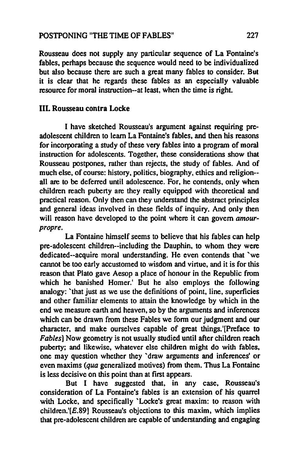### POSTPONING "THE TlME OF FABLES" 227

Rousseau does not supply any particular sequence of La Fontaine's fables, perhaps because the sequence would need to be individualized but also because there are such a great many fables to consider. But it is clear that he regards these fables as an especially valuable resource for moral instruction--at least, when the time is right.

#### IlL Rousseau contra Locke

1 have skelched Rousseau's argument against requiring preadolescent children to learn La Fontaine's fables, and then his reasons for incorporating a study of these very fables into a program of moral instruction for adolescents. Together, these considerations show that Rousseau postpones, rather than rejects, the study of fables. And of much else, of course: history, politics, biography, ethics and religion- all are to be deferred until adolescence. For, he contends, only when children reach puberty are they really equipped with theoretical and practical reason. Only then can they understand the abstract principles and general ideas involved in these fields of inquiry. And only then will reason have developed to the point where it can govern amourpropre.

La Fontaine himself seems to believe that his fables can help pre-adolescent children--including the Dauphin, to whom they were dedicated--acquire moral understanding. He even contends that 'we cannot he too early accustomed to wisdom and virtue. and it is for this reason that Plato gave Aesop a place of honour in the Republic from which he banished Homer.' But he also employs the following analogy: 'that just as we use the definitions of point, line, superficies and other familiar elements to attain the knowledge by which in the end we measure earth and heaven, so by the arguments and inferences which can be drawn from these Fables we form our judgment and our character, and make ourselves capable of great things.'[Preface to Fables] Now geometry is not usually studied until after children reach puberty; and likewise. whatever else children might do with fables, one may question whether they 'draw arguments and inferences' or even maxims (qua generalized motives) from them. Thus La Fontaine is less decisive on this point than al first appears.

But 1 have suggested that, in any case, Rousseau's consideration of La Fontaine's fables is an exlension of his quarrel with Locke, and specifically 'Locke's great maxim: to reason with children.' $[E.89]$  Rousseau's objections to this maxim, which implies that pre-adolescent children are capable of understanding and engaging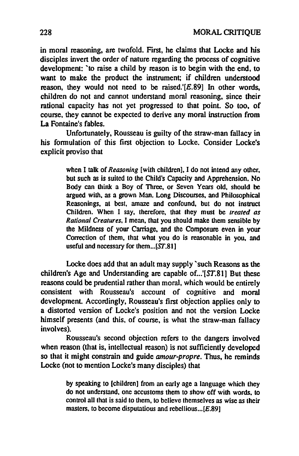in moral reasoning, are twofold. First, he claims that Locke and his disciples invert the order of nature regarding the process of cognitive development: 'to raise a child by reason is to begin with the end, to want to make the product the instrument; if children understood reason, they would not need to be raised.' $[E.89]$  In other words, children do not and cannot understand moral reasoning, since their rational capacity has not yet progressed to that point. So too. of course, they cannot he expected to derive any moral instruction from La Fontaine's fables.

Unfortunately, Rousseau is guilty of the straw-man fallacy in his fonnulation of this first objection to Locke. Consider Locke's explicit proviso that

> when 1 talk of *Reasoning* [with children), 1 do not intend any other, but such as is suiled 10 the Child's Capacity and Apprehension. No Body can think a Boy of Three, or Seven Years old, should be argued with, as a grown Man. Long Discourses, and Philosophical Reasonings, al best, amaze and confound, but do not instruct Children. When 1 say, lherefore, that lhey must be *Irealed as Rational Creatures, I* mean, that you should make them sensible by the Mildness of your Carriage, and the Composure even in your Correction of them, lhat what you do is reasonable in you, and useful and necessary for them... $[ST.81]$

Locke does add that an adult may supply 'such Reasons as the children's Age and Understanding are capable of...'[ST.81] But these reasons could he prudential rather than moral, which would he entirely consistent with Rousseau's account of cognitive and moral development. Accordingly, Rousseau's first objection applies only to a distorted version of Locke's position and not the version Locke himself presents (and this, of course, is what the straw-man fallacy involves).

Rousseau's second objection refers to the dangers involved when reason (that is, intellectual reason) is not sufficiently developed so that it might constrain and guide *amour-propre.* Thus, he reminds Locke (not to mention Locke's many disciples) that

> by speaking to [children] from an early age a language which they do not understand, one accus toms them ta show off with words. *ta*  control all that is said to them, to believe themselves as wise as their masters, to become disputatious and rebellious... $[E.89]$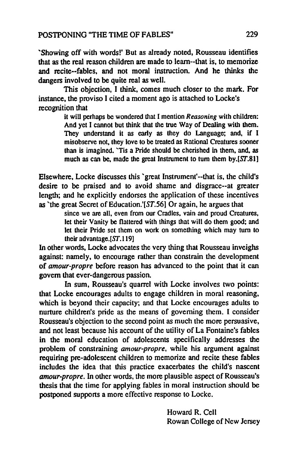'Showing off with wordsl' But as aJready noted, Rousseau identifies that as the real reason children are made to leam--that is, to memorize and recite--fables, and not moral instruction. And he thinks the dangers involved to be quite real as weil.

This objection, I think, comes much closer to the mark. For instance, the proviso 1 cited a moment ago is attached to Locke's recognition that

> it will perhaps be wondered that I mention *Reasoning* with children: And yet I cannot but think that the true Way of Dealing with them. They understand it as early as they do Language; and, if I misobserve not, they love 10 be treated as Rational Creatures sooner than is imagined. 'Tis a Pride should be cherished in them. and, as much as can be, made the great Instrument to turn them by. $[ST.81]$

Elsewhere. Locke discusses this 'great Instrument'--that is, the child's desire to be praised and to avoid shame and disgrace--at greater length; and he explicitly endorses the application of these incentives as 'the great Secret of Education.'[ST.56] Or again, he argues that

since we are ail, even from our Cradles. vain and proud Creatures. let their Vanity be flattered with things that will do them good; and let their Pride sel them on work on something which may turn to their advantage.[ST.119]

In other words. Locke advocates the very thing that Rousseau inveighs against: namely, to encourage rather than constrain the development of *amour-propre* before reason has advanced to the point that it can govem that ever-dangerous passion.

In sum, Rousseau's quarrel with Locke involves two points: that Locke encourages adults to engage children in moral reasoning, which is beyond their capacity; and that Locke encourages adults to nurture children's pride as the means of governing them. I consider Rousseau's objection to the second point as much the more persuasive, and not least because his account of the utility of La Fontaine's fables in the moral education of adolescents specifically addresses the problem of constraining *amour-propre,* while his argument against requiring pre-adolescent children to memorize and recite these fables includes the idea that this practice exacerbates the child's nascent *amour-propre.* In other words, the more plausible aspect of Rousseau's thesis that the time for applying fables in moral instruction should he postponed supports a more effective response to Locke.

> Howard R. Cell Rowan College of New Jersey